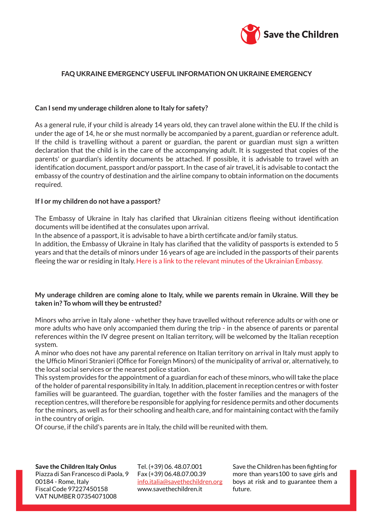

# **FAQ UKRAINE EMERGENCY USEFUL INFORMATION ON UKRAINE EMERGENCY**

#### **Can I send my underage children alone to Italy for safety?**

As a general rule, if your child is already 14 years old, they can travel alone within the EU. If the child is under the age of 14, he or she must normally be accompanied by a parent, guardian or reference adult. If the child is travelling without a parent or guardian, the parent or guardian must sign a written declaration that the child is in the care of the accompanying adult. It is suggested that copies of the parents' or guardian's identity documents be attached. If possible, it is advisable to travel with an identification document, passport and/or passport. In the case of air travel, it is advisable to contact the embassy of the country of destination and the airline company to obtain information on the documents required.

#### **If I or my children do not have a passport?**

The Embassy of Ukraine in Italy has clarified that Ukrainian citizens fleeing without identification documents will be identified at the consulates upon arrival.

In the absence of a passport, it is advisable to have a birth certificate and/or family status.

In addition, the Embassy of Ukraine in Italy has clarified that the validity of passports is extended to 5 years and that the details of minors under 16 years of age are included in the passports of their parents fleeing the war or residing in Italy. [Here is a link to the relevant minutes of the Ukrainian Embassy.](https://www.savethechildren.it/sites/default/files/files/Crisi_Ucraina_note_verbali_Ambasciata_Ucraina.pdf)

### **My underage children are coming alone to Italy, while we parents remain in Ukraine. Will they be taken in? To whom will they be entrusted?**

Minors who arrive in Italy alone - whether they have travelled without reference adults or with one or more adults who have only accompanied them during the trip - in the absence of parents or parental references within the IV degree present on Italian territory, will be welcomed by the Italian reception system.

A minor who does not have any parental reference on Italian territory on arrival in Italy must apply to the Ufficio Minori Stranieri (Office for Foreign Minors) of the municipality of arrival or, alternatively, to the local social services or the nearest police station.

This system provides for the appointment of a guardian for each of these minors, who will take the place of the holder of parental responsibility in Italy. In addition, placement in reception centres or with foster families will be guaranteed. The guardian, together with the foster families and the managers of the reception centres, will therefore be responsible for applying for residence permits and other documents for the minors, as well as for their schooling and health care, and for maintaining contact with the family in the country of origin.

Of course, if the child's parents are in Italy, the child will be reunited with them.

**Save the Children Italy Onlus** Piazza di San Francesco di Paola, 9 00184 - Rome, Italy Fiscal Code 97227450158 VAT NUMBER 07354071008

Tel. (+39) 06. 48.07.001 Fax (+39) 06.48.07.00.39 info.italia@savethechildren.org www.savethechildren.it

Save the Children has been fighting for more than years100 to save girls and boys at risk and to guarantee them a future.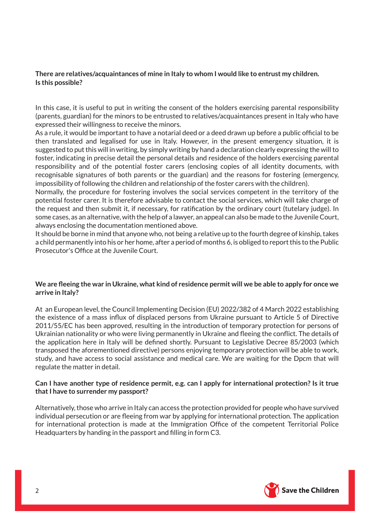# **There are relatives/acquaintances of mine in Italy to whom I would like to entrust my children. Is this possible?**

In this case, it is useful to put in writing the consent of the holders exercising parental responsibility (parents, guardian) for the minors to be entrusted to relatives/acquaintances present in Italy who have expressed their willingness to receive the minors.

As a rule, it would be important to have a notarial deed or a deed drawn up before a public official to be then translated and legalised for use in Italy. However, in the present emergency situation, it is suggested to put this will in writing, by simply writing by hand a declaration clearly expressing the will to foster, indicating in precise detail the personal details and residence of the holders exercising parental responsibility and of the potential foster carers (enclosing copies of all identity documents, with recognisable signatures of both parents or the guardian) and the reasons for fostering (emergency, impossibility of following the children and relationship of the foster carers with the children).

Normally, the procedure for fostering involves the social services competent in the territory of the potential foster carer. It is therefore advisable to contact the social services, which will take charge of the request and then submit it, if necessary, for ratification by the ordinary court (tutelary judge). In some cases, as an alternative, with the help of a lawyer, an appeal can also be made to the Juvenile Court, always enclosing the documentation mentioned above.

It should be borne in mind that anyone who, not being a relative up to the fourth degree of kinship, takes a child permanently into his or her home, after a period of months 6, is obliged to report this to the Public Prosecutor's Office at the Juvenile Court.

### **We are fleeing the war in Ukraine, what kind of residence permit will we be able to apply for once we arrive in Italy?**

At an European level, the Council Implementing Decision (EU) 2022/382 of 4 March 2022 establishing the existence of a mass influx of displaced persons from Ukraine pursuant to Article 5 of Directive 2011/55/EC has been approved, resulting in the introduction of temporary protection for persons of Ukrainian nationality or who were living permanently in Ukraine and fleeing the conflict. The details of the application here in Italy will be defined shortly. Pursuant to Legislative Decree 85/2003 (which transposed the aforementioned directive) persons enjoying temporary protection will be able to work, study, and have access to social assistance and medical care. We are waiting for the Dpcm that will regulate the matter in detail.

### **Can I have another type of residence permit, e.g. can I apply for international protection? Is it true that I have to surrender my passport?**

Alternatively, those who arrive in Italy can access the protection provided for people who have survived individual persecution or are fleeing from war by applying for international protection. The application for international protection is made at the Immigration Office of the competent Territorial Police Headquarters by handing in the passport and filling in form C3.

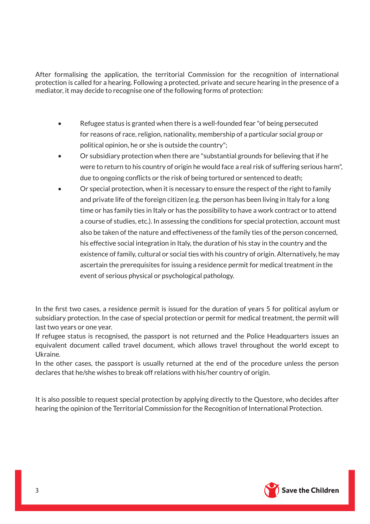After formalising the application, the territorial Commission for the recognition of international protection is called for a hearing. Following a protected, private and secure hearing in the presence of a mediator, it may decide to recognise one of the following forms of protection:

- Refugee status is granted when there is a well-founded fear "of being persecuted for reasons of race, religion, nationality, membership of a particular social group or political opinion, he or she is outside the country";
- Or subsidiary protection when there are "substantial grounds for believing that if he were to return to his country of origin he would face a real risk of suffering serious harm", due to ongoing conflicts or the risk of being tortured or sentenced to death;
- Or special protection, when it is necessary to ensure the respect of the right to family and private life of the foreign citizen (e.g. the person has been living in Italy for a long time or has family ties in Italy or has the possibility to have a work contract or to attend a course of studies, etc.). In assessing the conditions for special protection, account must also be taken of the nature and effectiveness of the family ties of the person concerned, his effective social integration in Italy, the duration of his stay in the country and the existence of family, cultural or social ties with his country of origin. Alternatively, he may ascertain the prerequisites for issuing a residence permit for medical treatment in the event of serious physical or psychological pathology.

In the first two cases, a residence permit is issued for the duration of years 5 for political asylum or subsidiary protection. In the case of special protection or permit for medical treatment, the permit will last two years or one year.

If refugee status is recognised, the passport is not returned and the Police Headquarters issues an equivalent document called travel document, which allows travel throughout the world except to Ukraine.

In the other cases, the passport is usually returned at the end of the procedure unless the person declares that he/she wishes to break off relations with his/her country of origin.

It is also possible to request special protection by applying directly to the Questore, who decides after hearing the opinion of the Territorial Commission for the Recognition of International Protection.

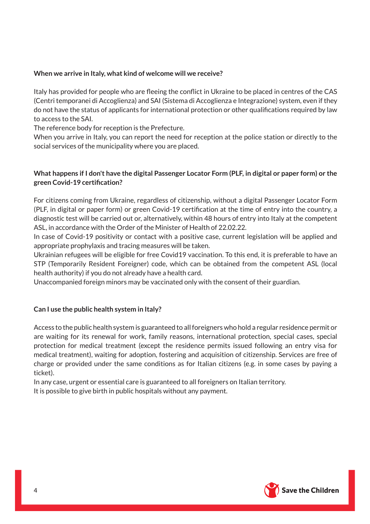# **When we arrive in Italy, what kind of welcome will we receive?**

Italy has provided for people who are fleeing the conflict in Ukraine to be placed in centres of the CAS (Centri temporanei di Accoglienza) and SAI (Sistema di Accoglienza e Integrazione) system, even if they do not have the status of applicants for international protection or other qualifications required by law to access to the SAI.

The reference body for reception is the Prefecture.

When you arrive in Italy, you can report the need for reception at the police station or directly to the social services of the municipality where you are placed.

# **What happens if I don't have the digital Passenger Locator Form (PLF, in digital or paper form) or the green Covid-19 certification?**

For citizens coming from Ukraine, regardless of citizenship, without a digital Passenger Locator Form (PLF, in digital or paper form) or green Covid-19 certification at the time of entry into the country, a diagnostic test will be carried out or, alternatively, within 48 hours of entry into Italy at the competent ASL, in accordance with the Order of the Minister of Health of 22.02.22.

In case of Covid-19 positivity or contact with a positive case, current legislation will be applied and appropriate prophylaxis and tracing measures will be taken.

Ukrainian refugees will be eligible for free Covid19 vaccination. To this end, it is preferable to have an STP (Temporarily Resident Foreigner) code, which can be obtained from the competent ASL (local health authority) if you do not already have a health card.

Unaccompanied foreign minors may be vaccinated only with the consent of their guardian.

# **Can I use the public health system in Italy?**

Access to the public health system is guaranteed to all foreigners who hold a regular residence permit or are waiting for its renewal for work, family reasons, international protection, special cases, special protection for medical treatment (except the residence permits issued following an entry visa for medical treatment), waiting for adoption, fostering and acquisition of citizenship. Services are free of charge or provided under the same conditions as for Italian citizens (e.g. in some cases by paying a ticket).

In any case, urgent or essential care is guaranteed to all foreigners on Italian territory. It is possible to give birth in public hospitals without any payment.